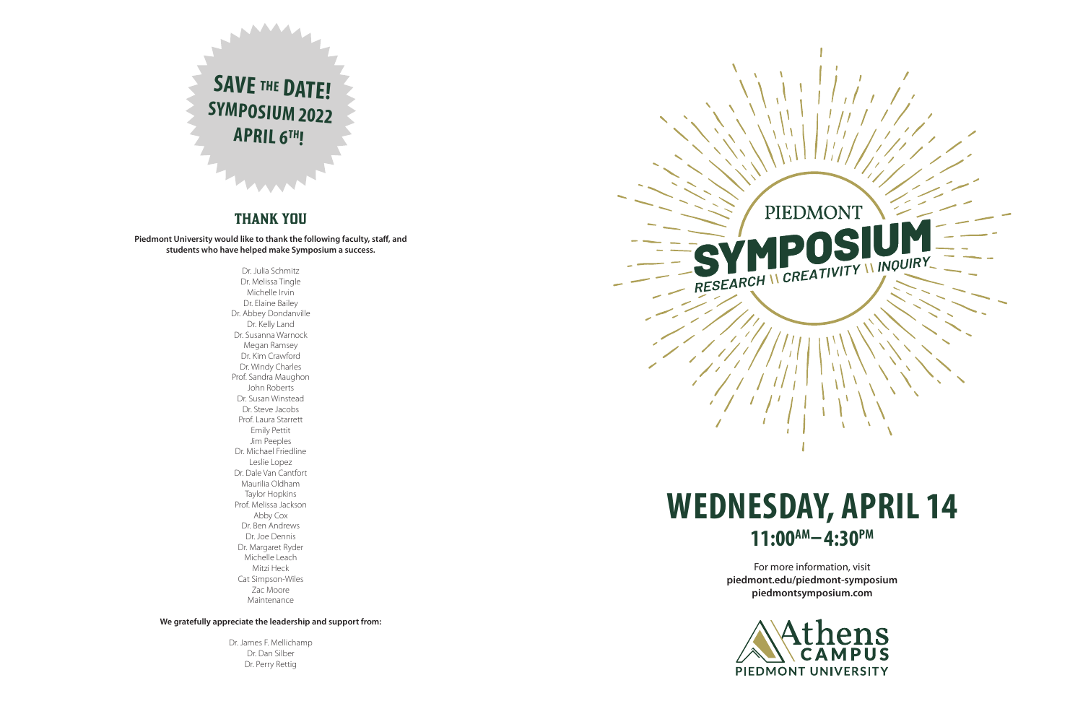# **WEDNESDAY, APRIL 14 11:00AM– 4:30PM**

For more information, visit **piedmont.edu/piedmont-symposium piedmontsymposium.com**



PIEDMONT RESEARCH IN CREATIVITY IN INQUIRY



## THANK YOU

**Piedmont University would like to thank the following faculty, staff, and students who have helped make Symposium a success.**

> Dr. Julia Schmitz Dr. Melissa Tingle Michelle Irvin Dr. Elaine Bailey Dr. Abbey Dondanville Dr. Kelly Land Dr. Susanna Warnock Megan Ramsey Dr. Kim Crawford Dr. Windy Charles Prof. Sandra Maughon John Roberts Dr. Susan Winstead Dr. Steve Jacobs Prof. Laura Starrett Emily Pettit Jim Peeples Dr. Michael Friedline Leslie Lopez Dr. Dale Van Cantfort Maurilia Oldham Taylor Hopkins Prof. Melissa Jackson Abby Cox Dr. Ben Andrews Dr. Joe Dennis Dr. Margaret Ryder Michelle Leach Mitzi Heck Cat Simpson-Wiles Zac Moore Maintenance

**We gratefully appreciate the leadership and support from:**

Dr. James F. Mellichamp Dr. Dan Silber Dr. Perry Rettig